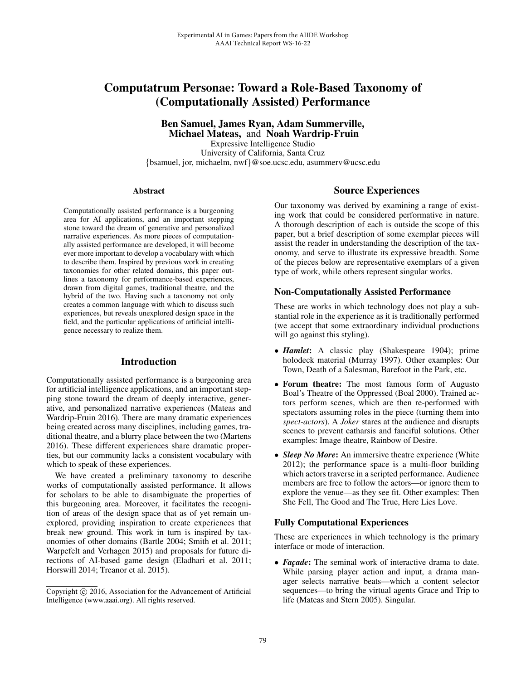# Computatrum Personae: Toward a Role-Based Taxonomy of (Computationally Assisted) Performance

Ben Samuel, James Ryan, Adam Summerville, Michael Mateas, and Noah Wardrip-Fruin Expressive Intelligence Studio University of California, Santa Cruz {bsamuel, jor, michaelm, nwf}@soe.ucsc.edu, asummerv@ucsc.edu

#### Abstract

Computationally assisted performance is a burgeoning area for AI applications, and an important stepping stone toward the dream of generative and personalized narrative experiences. As more pieces of computationally assisted performance are developed, it will become ever more important to develop a vocabulary with which to describe them. Inspired by previous work in creating taxonomies for other related domains, this paper outlines a taxonomy for performance-based experiences, drawn from digital games, traditional theatre, and the hybrid of the two. Having such a taxonomy not only creates a common language with which to discuss such experiences, but reveals unexplored design space in the field, and the particular applications of artificial intelligence necessary to realize them.

## Introduction

Computationally assisted performance is a burgeoning area for artificial intelligence applications, and an important stepping stone toward the dream of deeply interactive, generative, and personalized narrative experiences (Mateas and Wardrip-Fruin 2016). There are many dramatic experiences being created across many disciplines, including games, traditional theatre, and a blurry place between the two (Martens 2016). These different experiences share dramatic properties, but our community lacks a consistent vocabulary with which to speak of these experiences.

We have created a preliminary taxonomy to describe works of computationally assisted performance. It allows for scholars to be able to disambiguate the properties of this burgeoning area. Moreover, it facilitates the recognition of areas of the design space that as of yet remain unexplored, providing inspiration to create experiences that break new ground. This work in turn is inspired by taxonomies of other domains (Bartle 2004; Smith et al. 2011; Warpefelt and Verhagen 2015) and proposals for future directions of AI-based game design (Eladhari et al. 2011; Horswill 2014; Treanor et al. 2015).

### Source Experiences

Our taxonomy was derived by examining a range of existing work that could be considered performative in nature. A thorough description of each is outside the scope of this paper, but a brief description of some exemplar pieces will assist the reader in understanding the description of the taxonomy, and serve to illustrate its expressive breadth. Some of the pieces below are representative exemplars of a given type of work, while others represent singular works.

### Non-Computationally Assisted Performance

These are works in which technology does not play a substantial role in the experience as it is traditionally performed (we accept that some extraordinary individual productions will go against this styling).

- *Hamlet*: A classic play (Shakespeare 1904); prime holodeck material (Murray 1997). Other examples: Our Town, Death of a Salesman, Barefoot in the Park, etc.
- Forum theatre: The most famous form of Augusto Boal's Theatre of the Oppressed (Boal 2000). Trained actors perform scenes, which are then re-performed with spectators assuming roles in the piece (turning them into *spect-actors*). A *Joker* stares at the audience and disrupts scenes to prevent catharsis and fanciful solutions. Other examples: Image theatre, Rainbow of Desire.
- *Sleep No More*: An immersive theatre experience (White 2012); the performance space is a multi-floor building which actors traverse in a scripted performance. Audience members are free to follow the actors—or ignore them to explore the venue—as they see fit. Other examples: Then She Fell, The Good and The True, Here Lies Love.

#### Fully Computational Experiences

These are experiences in which technology is the primary interface or mode of interaction.

• *Façade*: The seminal work of interactive drama to date. While parsing player action and input, a drama manager selects narrative beats—which a content selector sequences—to bring the virtual agents Grace and Trip to life (Mateas and Stern 2005). Singular.

Copyright  $\odot$  2016, Association for the Advancement of Artificial Intelligence (www.aaai.org). All rights reserved.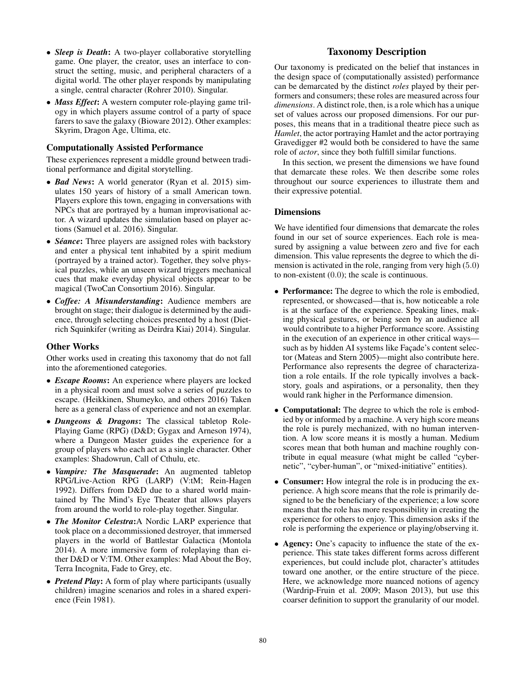- *Sleep is Death*: A two-player collaborative storytelling game. One player, the creator, uses an interface to construct the setting, music, and peripheral characters of a digital world. The other player responds by manipulating a single, central character (Rohrer 2010). Singular.
- *Mass Effect*: A western computer role-playing game trilogy in which players assume control of a party of space farers to save the galaxy (Bioware 2012). Other examples: Skyrim, Dragon Age, Ultima, etc.

### Computationally Assisted Performance

These experiences represent a middle ground between traditional performance and digital storytelling.

- *Bad News*: A world generator (Ryan et al. 2015) simulates 150 years of history of a small American town. Players explore this town, engaging in conversations with NPCs that are portrayed by a human improvisational actor. A wizard updates the simulation based on player actions (Samuel et al. 2016). Singular.
- *Séance*: Three players are assigned roles with backstory and enter a physical tent inhabited by a spirit medium (portrayed by a trained actor). Together, they solve physical puzzles, while an unseen wizard triggers mechanical cues that make everyday physical objects appear to be magical (TwoCan Consortium 2016). Singular.
- *Coffee: A Misunderstanding*: Audience members are brought on stage; their dialogue is determined by the audience, through selecting choices presented by a host (Dietrich Squinkifer (writing as Deirdra Kiai) 2014). Singular.

### Other Works

Other works used in creating this taxonomy that do not fall into the aforementioned categories.

- *Escape Rooms*: An experience where players are locked in a physical room and must solve a series of puzzles to escape. (Heikkinen, Shumeyko, and others 2016) Taken here as a general class of experience and not an exemplar.
- *Dungeons & Dragons*: The classical tabletop Role-Playing Game (RPG) (D&D; Gygax and Arneson 1974), where a Dungeon Master guides the experience for a group of players who each act as a single character. Other examples: Shadowrun, Call of Cthulu, etc.
- *Vampire: The Masquerade*: An augmented tabletop RPG/Live-Action RPG (LARP) (V:tM; Rein-Hagen 1992). Differs from D&D due to a shared world maintained by The Mind's Eye Theater that allows players from around the world to role-play together. Singular.
- *The Monitor Celestra*:A Nordic LARP experience that took place on a decommissioned destroyer, that immersed players in the world of Battlestar Galactica (Montola 2014). A more immersive form of roleplaying than either D&D or V:TM. Other examples: Mad About the Boy, Terra Incognita, Fade to Grey, etc.
- *Pretend Play:* A form of play where participants (usually children) imagine scenarios and roles in a shared experience (Fein 1981).

## Taxonomy Description

Our taxonomy is predicated on the belief that instances in the design space of (computationally assisted) performance can be demarcated by the distinct *roles* played by their performers and consumers; these roles are measured across four *dimensions*. A distinct role, then, is a role which has a unique set of values across our proposed dimensions. For our purposes, this means that in a traditional theatre piece such as *Hamlet*, the actor portraying Hamlet and the actor portraying Gravedigger #2 would both be considered to have the same role of *actor*, since they both fulfill similar functions.

In this section, we present the dimensions we have found that demarcate these roles. We then describe some roles throughout our source experiences to illustrate them and their expressive potential.

### **Dimensions**

We have identified four dimensions that demarcate the roles found in our set of source experiences. Each role is measured by assigning a value between zero and five for each dimension. This value represents the degree to which the dimension is activated in the role, ranging from very high (5.0) to non-existent (0.0); the scale is continuous.

- Performance: The degree to which the role is embodied, represented, or showcased—that is, how noticeable a role is at the surface of the experience. Speaking lines, making physical gestures, or being seen by an audience all would contribute to a higher Performance score. Assisting in the execution of an experience in other critical ways such as by hidden AI systems like Façade's content selector (Mateas and Stern 2005)—might also contribute here. Performance also represents the degree of characterization a role entails. If the role typically involves a backstory, goals and aspirations, or a personality, then they would rank higher in the Performance dimension.
- **Computational:** The degree to which the role is embodied by or informed by a machine. A very high score means the role is purely mechanized, with no human intervention. A low score means it is mostly a human. Medium scores mean that both human and machine roughly contribute in equal measure (what might be called "cybernetic", "cyber-human", or "mixed-initiative" entities).
- Consumer: How integral the role is in producing the experience. A high score means that the role is primarily designed to be the beneficiary of the experience; a low score means that the role has more responsibility in creating the experience for others to enjoy. This dimension asks if the role is performing the experience or playing/observing it.
- Agency: One's capacity to influence the state of the experience. This state takes different forms across different experiences, but could include plot, character's attitudes toward one another, or the entire structure of the piece. Here, we acknowledge more nuanced notions of agency (Wardrip-Fruin et al. 2009; Mason 2013), but use this coarser definition to support the granularity of our model.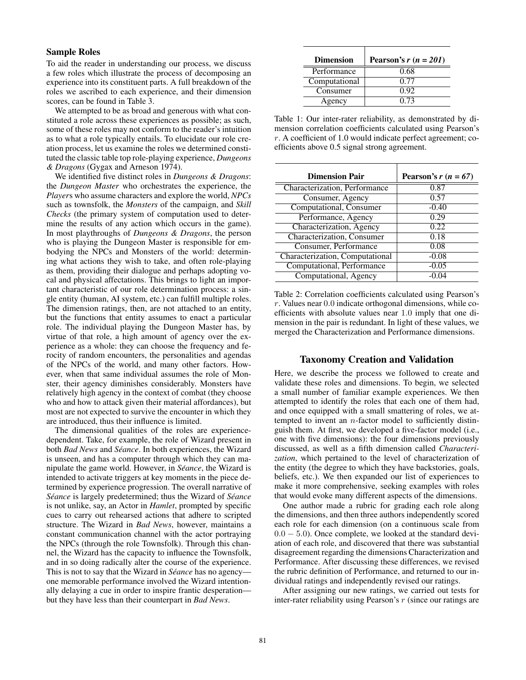### Sample Roles

To aid the reader in understanding our process, we discuss a few roles which illustrate the process of decomposing an experience into its constituent parts. A full breakdown of the roles we ascribed to each experience, and their dimension scores, can be found in Table 3.

We attempted to be as broad and generous with what constituted a role across these experiences as possible; as such, some of these roles may not conform to the reader's intuition as to what a role typically entails. To elucidate our role creation process, let us examine the roles we determined constituted the classic table top role-playing experience, *Dungeons & Dragons* (Gygax and Arneson 1974).

We identified five distinct roles in *Dungeons & Dragons*: the *Dungeon Master* who orchestrates the experience, the *Player*s who assume characters and explore the world, *NPCs* such as townsfolk, the *Monsters* of the campaign, and *Skill Checks* (the primary system of computation used to determine the results of any action which occurs in the game). In most playthroughs of *Dungeons & Dragons*, the person who is playing the Dungeon Master is responsible for embodying the NPCs and Monsters of the world: determining what actions they wish to take, and often role-playing as them, providing their dialogue and perhaps adopting vocal and physical affectations. This brings to light an important characteristic of our role determination process: a single entity (human, AI system, etc.) can fulfill multiple roles. The dimension ratings, then, are not attached to an entity, but the functions that entity assumes to enact a particular role. The individual playing the Dungeon Master has, by virtue of that role, a high amount of agency over the experience as a whole: they can choose the frequency and ferocity of random encounters, the personalities and agendas of the NPCs of the world, and many other factors. However, when that same individual assumes the role of Monster, their agency diminishes considerably. Monsters have relatively high agency in the context of combat (they choose who and how to attack given their material affordances), but most are not expected to survive the encounter in which they are introduced, thus their influence is limited.

The dimensional qualities of the roles are experiencedependent. Take, for example, the role of Wizard present in both *Bad News* and *Seance ´* . In both experiences, the Wizard is unseen, and has a computer through which they can manipulate the game world. However, in *Séance*, the Wizard is intended to activate triggers at key moments in the piece determined by experience progression. The overall narrative of *Seance ´* is largely predetermined; thus the Wizard of *Seance ´* is not unlike, say, an Actor in *Hamlet*, prompted by specific cues to carry out rehearsed actions that adhere to scripted structure. The Wizard in *Bad News*, however, maintains a constant communication channel with the actor portraying the NPCs (through the role Townsfolk). Through this channel, the Wizard has the capacity to influence the Townsfolk, and in so doing radically alter the course of the experience. This is not to say that the Wizard in *Séance* has no agency one memorable performance involved the Wizard intentionally delaying a cue in order to inspire frantic desperation but they have less than their counterpart in *Bad News*.

| <b>Dimension</b> | Pearson's $r(n = 201)$ |  |  |  |
|------------------|------------------------|--|--|--|
| Performance      | 0.68                   |  |  |  |
| Computational    | 0.77                   |  |  |  |
| Consumer         | 0.92                   |  |  |  |
| Agency           | 0.73                   |  |  |  |

Table 1: Our inter-rater reliability, as demonstrated by dimension correlation coefficients calculated using Pearson's r. A coefficient of 1.0 would indicate perfect agreement; coefficients above 0.5 signal strong agreement.

| <b>Dimension Pair</b>           | Pearson's $r(n = 67)$ |  |  |
|---------------------------------|-----------------------|--|--|
| Characterization, Performance   | 0.87                  |  |  |
| Consumer, Agency                | 0.57                  |  |  |
| Computational, Consumer         | $-0.40$               |  |  |
| Performance, Agency             | 0.29                  |  |  |
| Characterization, Agency        | 0.22                  |  |  |
| Characterization, Consumer      | 0.18                  |  |  |
| Consumer, Performance           | 0.08                  |  |  |
| Characterization, Computational | $-0.08$               |  |  |
| Computational, Performance      | $-0.05$               |  |  |
| Computational, Agency           | -0.04                 |  |  |

Table 2: Correlation coefficients calculated using Pearson's  $r.$  Values near  $0.0$  indicate orthogonal dimensions, while coefficients with absolute values near 1.0 imply that one dimension in the pair is redundant. In light of these values, we merged the Characterization and Performance dimensions.

### Taxonomy Creation and Validation

Here, we describe the process we followed to create and validate these roles and dimensions. To begin, we selected a small number of familiar example experiences. We then attempted to identify the roles that each one of them had, and once equipped with a small smattering of roles, we attempted to invent an  $n$ -factor model to sufficiently distinguish them. At first, we developed a five-factor model (i.e., one with five dimensions): the four dimensions previously discussed, as well as a fifth dimension called *Characterization*, which pertained to the level of characterization of the entity (the degree to which they have backstories, goals, beliefs, etc.). We then expanded our list of experiences to make it more comprehensive, seeking examples with roles that would evoke many different aspects of the dimensions.

One author made a rubric for grading each role along the dimensions, and then three authors independently scored each role for each dimension (on a continuous scale from  $0.0 - 5.0$ ). Once complete, we looked at the standard deviation of each role, and discovered that there was substantial disagreement regarding the dimensions Characterization and Performance. After discussing these differences, we revised the rubric definition of Performance, and returned to our individual ratings and independently revised our ratings.

After assigning our new ratings, we carried out tests for inter-rater reliability using Pearson's r (since our ratings are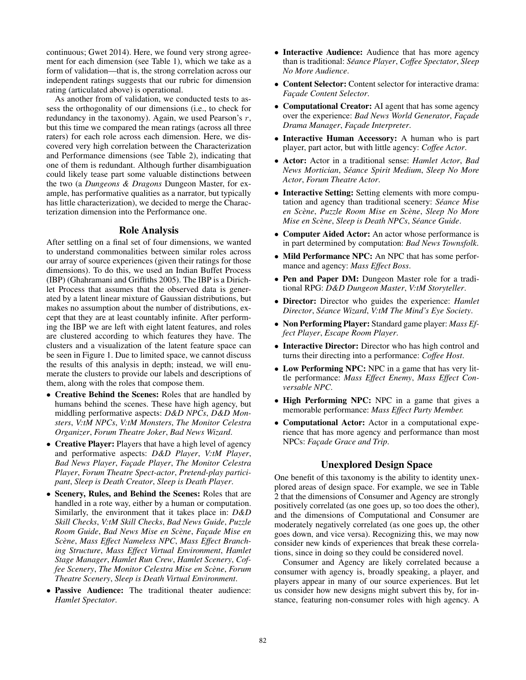continuous; Gwet 2014). Here, we found very strong agreement for each dimension (see Table 1), which we take as a form of validation—that is, the strong correlation across our independent ratings suggests that our rubric for dimension rating (articulated above) is operational.

As another from of validation, we conducted tests to assess the orthogonality of our dimensions (i.e., to check for redundancy in the taxonomy). Again, we used Pearson's  $r$ , but this time we compared the mean ratings (across all three raters) for each role across each dimension. Here, we discovered very high correlation between the Characterization and Performance dimensions (see Table 2), indicating that one of them is redundant. Although further disambiguation could likely tease part some valuable distinctions between the two (a *Dungeons & Dragons* Dungeon Master, for example, has performative qualities as a narrator, but typically has little characterization), we decided to merge the Characterization dimension into the Performance one.

### Role Analysis

After settling on a final set of four dimensions, we wanted to understand commonalities between similar roles across our array of source experiences (given their ratings for those dimensions). To do this, we used an Indian Buffet Process (IBP) (Ghahramani and Griffiths 2005). The IBP is a Dirichlet Process that assumes that the observed data is generated by a latent linear mixture of Gaussian distributions, but makes no assumption about the number of distributions, except that they are at least countably infinite. After performing the IBP we are left with eight latent features, and roles are clustered according to which features they have. The clusters and a visualization of the latent feature space can be seen in Figure 1. Due to limited space, we cannot discuss the results of this analysis in depth; instead, we will enumerate the clusters to provide our labels and descriptions of them, along with the roles that compose them.

- Creative Behind the Scenes: Roles that are handled by humans behind the scenes. These have high agency, but middling performative aspects: *D&D NPCs*, *D&D Monsters*, *V:tM NPCs*, *V:tM Monsters*, *The Monitor Celestra Organizer*, *Forum Theatre Joker*, *Bad News Wizard*.
- Creative Player: Players that have a high level of agency and performative aspects: *D&D Player*, *V:tM Player*, *Bad News Player*, *Fac¸ade Player*, *The Monitor Celestra Player*, *Forum Theatre Spect-actor*, *Pretend-play participant*, *Sleep is Death Creator*, *Sleep is Death Player*.
- Scenery, Rules, and Behind the Scenes: Roles that are handled in a rote way, either by a human or computation. Similarly, the environment that it takes place in: *D&D Skill Checks*, *V:tM Skill Checks*, *Bad News Guide*, *Puzzle Room Guide*, *Bad News Mise en Scene `* , *Fac¸ade Mise en Scene `* , *Mass Effect Nameless NPC*, *Mass Effect Branching Structure*, *Mass Effect Virtual Environment*, *Hamlet Stage Manager*, *Hamlet Run Crew*, *Hamlet Scenery*, *Coffee Scenery*, *The Monitor Celestra Mise en Scene `* , *Forum Theatre Scenery*, *Sleep is Death Virtual Environment*.
- Passive Audience: The traditional theater audience: *Hamlet Spectator*.
- Interactive Audience: Audience that has more agency than is traditional: *Seance Player ´* , *Coffee Spectator*, *Sleep No More Audience*.
- Content Selector: Content selector for interactive drama: *Fac¸ade Content Selector*.
- Computational Creator: AI agent that has some agency over the experience: *Bad News World Generator*, *Facade Drama Manager*, *Fac¸ade Interpreter*.
- Interactive Human Accessory: A human who is part player, part actor, but with little agency: *Coffee Actor*.
- Actor: Actor in a traditional sense: *Hamlet Actor*, *Bad News Mortician*, *Seance Spirit Medium ´* , *Sleep No More Actor*, *Forum Theatre Actor*.
- Interactive Setting: Setting elements with more computation and agency than traditional scenery: *Seance Mise ´ en Scene `* , *Puzzle Room Mise en Scene `* , *Sleep No More Mise en Scene `* , *Sleep is Death NPCs*, *Seance Guide ´* .
- Computer Aided Actor: An actor whose performance is in part determined by computation: *Bad News Townsfolk*.
- Mild Performance NPC: An NPC that has some performance and agency: *Mass Effect Boss*.
- Pen and Paper DM: Dungeon Master role for a traditional RPG: *D&D Dungeon Master*, *V:tM Storyteller*.
- Director: Director who guides the experience: *Hamlet Director*, *Seance Wizard ´* , *V:tM The Mind's Eye Society*.
- Non Performing Player: Standard game player: *Mass Effect Player*, *Escape Room Player*.
- Interactive Director: Director who has high control and turns their directing into a performance: *Coffee Host*.
- Low Performing NPC: NPC in a game that has very little performance: *Mass Effect Enemy*, *Mass Effect Conversable NPC*.
- High Performing NPC: NPC in a game that gives a memorable performance: *Mass Effect Party Member.*
- Computational Actor: Actor in a computational experience that has more agency and performance than most NPCs: *Facade Grace and Trip*.

### Unexplored Design Space

One benefit of this taxonomy is the ability to identity unexplored areas of design space. For example, we see in Table 2 that the dimensions of Consumer and Agency are strongly positively correlated (as one goes up, so too does the other), and the dimensions of Computational and Consumer are moderately negatively correlated (as one goes up, the other goes down, and vice versa). Recognizing this, we may now consider new kinds of experiences that break these correlations, since in doing so they could be considered novel.

Consumer and Agency are likely correlated because a consumer with agency is, broadly speaking, a player, and players appear in many of our source experiences. But let us consider how new designs might subvert this by, for instance, featuring non-consumer roles with high agency. A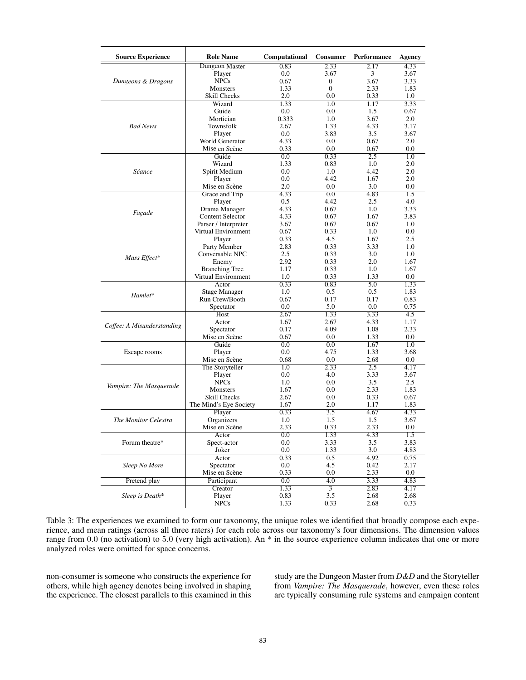| <b>Source Experience</b>   | <b>Role Name</b>               | Computational | <b>Consumer</b> | Performance | Agency  |
|----------------------------|--------------------------------|---------------|-----------------|-------------|---------|
|                            | Dungeon Master                 | 0.83          | 2.33            | 2.17        | 4.33    |
|                            | Player                         | $0.0\,$       | 3.67            | 3           | 3.67    |
| Dungeons & Dragons         | <b>NPCs</b>                    | 0.67          | 0               | 3.67        | 3.33    |
|                            | Monsters                       | 1.33          | $\overline{0}$  | 2.33        | 1.83    |
|                            | Skill Checks                   | 2.0           | 0.0             | 0.33        | 1.0     |
|                            | Wizard                         | 1.33          | 1.0             | 1.17        | 3.33    |
|                            | Guide                          | 0.0           | 0.0             | 1.5         | 0.67    |
|                            | Mortician                      | 0.333         | 1.0             | 3.67        | 2.0     |
| <b>Bad News</b>            | Townsfolk                      | 2.67          | 1.33            | 4.33        | 3.17    |
|                            | Player                         | 0.0           | 3.83            | 3.5         | 3.67    |
|                            | World Generator                | 4.33          | 0.0             | 0.67        | 2.0     |
|                            | Mise en Scène                  | 0.33          | 0.0             | 0.67        | 0.0     |
|                            | Guide                          | 0.0           | 0.33            | 2.5         | 1.0     |
|                            | Wizard                         | 1.33          | 0.83            | 1.0         | 2.0     |
| Séance                     | Spirit Medium                  | $0.0\,$       | 1.0             | 4.42        | 2.0     |
|                            | Player                         | 0.0           | 4.42            | 1.67        | 2.0     |
|                            | Mise en Scène                  | 2.0           | 0.0             | 3.0         | 0.0     |
|                            | Grace and Trip                 | 4.33          | 0.0             | 4.83        | 1.5     |
|                            | Player                         | 0.5           | 4.42            | 2.5         | 4.0     |
|                            | Drama Manager                  | 4.33          | 0.67            | 1.0         | 3.33    |
| Façade                     | <b>Content Selector</b>        | 4.33          | 0.67            | 1.67        | 3.83    |
|                            | Parser / Interpreter           | 3.67          | 0.67            | 0.67        | 1.0     |
|                            | Virtual Environment            | 0.67          | 0.33            | 1.0         | 0.0     |
|                            | Player                         | 0.33          | 4.5             | 1.67        | 2.5     |
|                            | Party Member                   | 2.83          | 0.33            | 3.33        | 1.0     |
|                            | Conversable NPC                | 2.5           | 0.33            | 3.0         | 1.0     |
| Mass Effect*               |                                | 2.92          | 0.33            | 2.0         | 1.67    |
|                            | Enemy<br><b>Branching Tree</b> | 1.17          | 0.33            | 1.0         | 1.67    |
|                            | Virtual Environment            | 1.0           | 0.33            | 1.33        | 0.0     |
|                            | Actor                          | 0.33          | 0.83            | 5.0         | 1.33    |
|                            |                                | 1.0           | 0.5             | 0.5         | 1.83    |
| Hamlet*                    | Stage Manager                  |               |                 |             | 0.83    |
|                            | Run Crew/Booth                 | 0.67          | 0.17            | 0.17        |         |
|                            | Spectator                      | 0.0           | 5.0             | 0.0         | 0.75    |
|                            | Host                           | 2.67          | 1.33            | 3.33        | 4.5     |
| Coffee: A Misunderstanding | Actor                          | 1.67          | 2.67            | 4.33        | 1.17    |
|                            | Spectator                      | 0.17          | 4.09            | 1.08        | 2.33    |
|                            | Mise en Scène                  | 0.67          | 0.0             | 1.33        | $0.0\,$ |
| Escape rooms               | Guide                          | 0.0           | 0.0             | 1.67        | 1.0     |
|                            | Player                         | 0.0           | 4.75            | 1.33        | 3.68    |
|                            | Mise en Scène                  | 0.68          | 0.0             | 2.68        | 0.0     |
|                            | The Storyteller                | 1.0           | 2.33            | 2.5         | 4.17    |
|                            | Player                         | 0.0           | 4.0             | 3.33        | 3.67    |
| Vampire: The Masquerade    | <b>NPCs</b>                    | 1.0           | 0.0             | 3.5         | 2.5     |
|                            | <b>Monsters</b>                | 1.67          | 0.0             | 2.33        | 1.83    |
|                            | Skill Checks                   | 2.67          | 0.0             | 0.33        | 0.67    |
|                            | The Mind's Eye Society         | 1.67          | 2.0             | 1.17        | 1.83    |
| The Monitor Celestra       | Player                         | 0.33          | 3.5             | 4.67        | 4.33    |
|                            | Organizers                     | 1.0           | 1.5             | 1.5         | 3.67    |
|                            | Mise en Scène                  | 2.33          | 0.33            | 2.33        | 0.0     |
|                            | Actor                          | $0.0\,$       | 1.33            | 4.33        | 1.5     |
| Forum theatre*             | Spect-actor                    | $0.0\,$       | 3.33            | 3.5         | 3.83    |
|                            | Joker                          | $0.0\,$       | 1.33            | 3.0         | 4.83    |
| Sleep No More              | Actor                          | 0.33          | 0.5             | 4.92        | 0.75    |
|                            | Spectator                      | $0.0\,$       | 4.5             | 0.42        | 2.17    |
|                            | Mise en Scène                  | 0.33          | 0.0             | 2.33        | $0.0\,$ |
| Pretend play               | Participant                    | 0.0           | 4.0             | 3.33        | 4.83    |
|                            | Creator                        | 1.33          | $\overline{3}$  | 2.83        | 4.17    |
| Sleep is Death*            | Player                         | 0.83          | 3.5             | 2.68        | 2.68    |
|                            | <b>NPCs</b>                    | 1.33          | 0.33            | 2.68        | 0.33    |

Table 3: The experiences we examined to form our taxonomy, the unique roles we identified that broadly compose each experience, and mean ratings (across all three raters) for each role across our taxonomy's four dimensions. The dimension values range from 0.0 (no activation) to 5.0 (very high activation). An \* in the source experience column indicates that one or more analyzed roles were omitted for space concerns.

non-consumer is someone who constructs the experience for others, while high agency denotes being involved in shaping the experience. The closest parallels to this examined in this study are the Dungeon Master from *D&D* and the Storyteller from *Vampire: The Masquerade*, however, even these roles are typically consuming rule systems and campaign content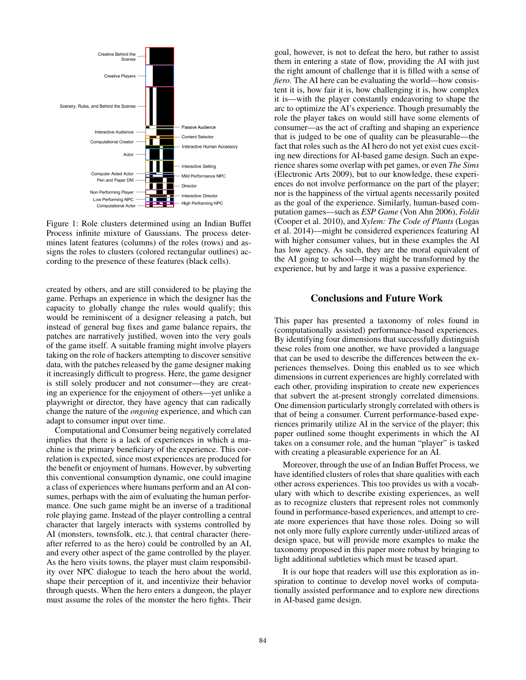

Figure 1: Role clusters determined using an Indian Buffet Process infinite mixture of Gaussians. The process determines latent features (columns) of the roles (rows) and assigns the roles to clusters (colored rectangular outlines) according to the presence of these features (black cells).

created by others, and are still considered to be playing the game. Perhaps an experience in which the designer has the capacity to globally change the rules would qualify; this would be reminiscent of a designer releasing a patch, but instead of general bug fixes and game balance repairs, the patches are narratively justified, woven into the very goals of the game itself. A suitable framing might involve players taking on the role of hackers attempting to discover sensitive data, with the patches released by the game designer making it increasingly difficult to progress. Here, the game designer is still solely producer and not consumer—they are creating an experience for the enjoyment of others—yet unlike a playwright or director, they have agency that can radically change the nature of the *ongoing* experience, and which can adapt to consumer input over time.

Computational and Consumer being negatively correlated implies that there is a lack of experiences in which a machine is the primary beneficiary of the experience. This correlation is expected, since most experiences are produced for the benefit or enjoyment of humans. However, by subverting this conventional consumption dynamic, one could imagine a class of experiences where humans perform and an AI consumes, perhaps with the aim of evaluating the human performance. One such game might be an inverse of a traditional role playing game. Instead of the player controlling a central character that largely interacts with systems controlled by AI (monsters, townsfolk, etc.), that central character (hereafter referred to as the hero) could be controlled by an AI, and every other aspect of the game controlled by the player. As the hero visits towns, the player must claim responsibility over NPC dialogue to teach the hero about the world, shape their perception of it, and incentivize their behavior through quests. When the hero enters a dungeon, the player must assume the roles of the monster the hero fights. Their goal, however, is not to defeat the hero, but rather to assist them in entering a state of flow, providing the AI with just the right amount of challenge that it is filled with a sense of *fiero.* The AI here can be evaluating the world—how consistent it is, how fair it is, how challenging it is, how complex it is—with the player constantly endeavoring to shape the arc to optimize the AI's experience. Though presumably the role the player takes on would still have some elements of consumer—as the act of crafting and shaping an experience that is judged to be one of quality can be pleasurable—the fact that roles such as the AI hero do not yet exist cues exciting new directions for AI-based game design. Such an experience shares some overlap with pet games, or even *The Sims* (Electronic Arts 2009), but to our knowledge, these experiences do not involve performance on the part of the player; nor is the happiness of the virtual agents necessarily posited as the goal of the experience. Similarly, human-based computation games—such as *ESP Game* (Von Ahn 2006), *Foldit* (Cooper et al. 2010), and *Xylem: The Code of Plants* (Logas et al. 2014)—might be considered experiences featuring AI with higher consumer values, but in these examples the AI has low agency. As such, they are the moral equivalent of the AI going to school—they might be transformed by the experience, but by and large it was a passive experience.

### Conclusions and Future Work

This paper has presented a taxonomy of roles found in (computationally assisted) performance-based experiences. By identifying four dimensions that successfully distinguish these roles from one another, we have provided a language that can be used to describe the differences between the experiences themselves. Doing this enabled us to see which dimensions in current experiences are highly correlated with each other, providing inspiration to create new experiences that subvert the at-present strongly correlated dimensions. One dimension particularly strongly correlated with others is that of being a consumer. Current performance-based experiences primarily utilize AI in the service of the player; this paper outlined some thought experiments in which the AI takes on a consumer role, and the human "player" is tasked with creating a pleasurable experience for an AI.

Moreover, through the use of an Indian Buffet Process, we have identified clusters of roles that share qualities with each other across experiences. This too provides us with a vocabulary with which to describe existing experiences, as well as to recognize clusters that represent roles not commonly found in performance-based experiences, and attempt to create more experiences that have those roles. Doing so will not only more fully explore currently under-utilized areas of design space, but will provide more examples to make the taxonomy proposed in this paper more robust by bringing to light additional subtleties which must be teased apart.

It is our hope that readers will use this exploration as inspiration to continue to develop novel works of computationally assisted performance and to explore new directions in AI-based game design.